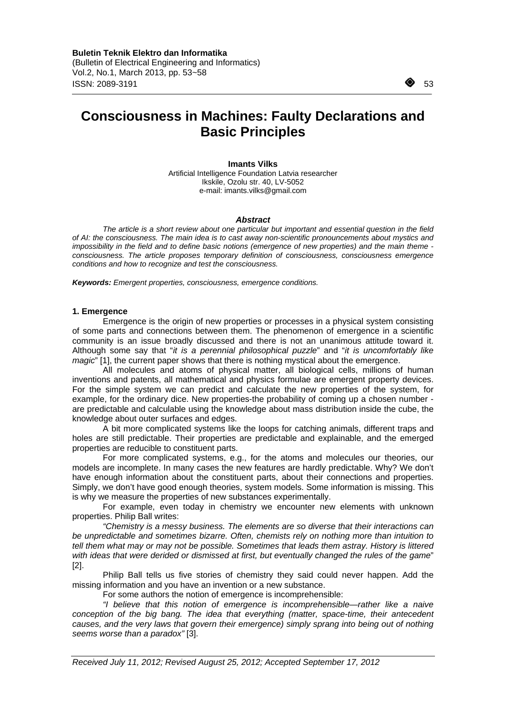$\overline{a}$ 

# **Consciousness in Machines: Faulty Declarations and Basic Principles**

## **Imants Vilks**

Artificial Intelligence Foundation Latvia researcher Ikskile, Ozolu str. 40, LV-5052 e-mail: imants.vilks@gmail.com

#### *Abstract*

*The article is a short review about one particular but important and essential question in the field of AI: the consciousness. The main idea is to cast away non-scientific pronouncements about mystics and impossibility in the field and to define basic notions (emergence of new properties) and the main theme consciousness. The article proposes temporary definition of consciousness, consciousness emergence conditions and how to recognize and test the consciousness.* 

*Keywords: Emergent properties, consciousness, emergence conditions.*

## **1. Emergence**

Emergence is the origin of new properties or processes in a physical system consisting of some parts and connections between them. The phenomenon of emergence in a scientific community is an issue broadly discussed and there is not an unanimous attitude toward it. Although some say that "*it is a perennial philosophical puzzle*" and "*it is uncomfortably like magic*" [1], the current paper shows that there is nothing mystical about the emergence.

All molecules and atoms of physical matter, all biological cells, millions of human inventions and patents, all mathematical and physics formulae are emergent property devices. For the simple system we can predict and calculate the new properties of the system, for example, for the ordinary dice. New properties-the probability of coming up a chosen number are predictable and calculable using the knowledge about mass distribution inside the cube, the knowledge about outer surfaces and edges.

A bit more complicated systems like the loops for catching animals, different traps and holes are still predictable. Their properties are predictable and explainable, and the emerged properties are reducible to constituent parts.

For more complicated systems, e.g., for the atoms and molecules our theories, our models are incomplete. In many cases the new features are hardly predictable. Why? We don't have enough information about the constituent parts, about their connections and properties. Simply, we don't have good enough theories, system models. Some information is missing. This is why we measure the properties of new substances experimentally.

For example, even today in chemistry we encounter new elements with unknown properties. Philip Ball writes:

*"Chemistry is a messy business. The elements are so diverse that their interactions can be unpredictable and sometimes bizarre. Often, chemists rely on nothing more than intuition to tell them what may or may not be possible. Sometimes that leads them astray. History is littered with ideas that were derided or dismissed at first, but eventually changed the rules of the game*" [2].

Philip Ball tells us five stories of chemistry they said could never happen. Add the missing information and you have an invention or a new substance.

For some authors the notion of emergence is incomprehensible:

*"I believe that this notion of emergence is incomprehensible—rather like a naive conception of the big bang. The idea that everything (matter, space-time, their antecedent causes, and the very laws that govern their emergence) simply sprang into being out of nothing seems worse than a paradox"* [3].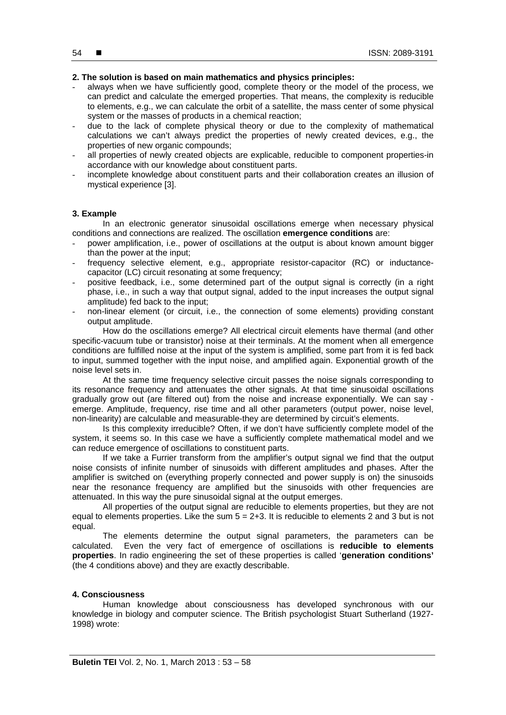# **2. The solution is based on main mathematics and physics principles:**

- always when we have sufficiently good, complete theory or the model of the process, we can predict and calculate the emerged properties. That means, the complexity is reducible to elements, e.g., we can calculate the orbit of a satellite, the mass center of some physical system or the masses of products in a chemical reaction;
- due to the lack of complete physical theory or due to the complexity of mathematical calculations we can't always predict the properties of newly created devices, e.g., the properties of new organic compounds;
- all properties of newly created objects are explicable, reducible to component properties-in accordance with our knowledge about constituent parts.
- incomplete knowledge about constituent parts and their collaboration creates an illusion of mystical experience [3].

# **3. Example**

In an electronic generator sinusoidal oscillations emerge when necessary physical conditions and connections are realized. The oscillation **emergence conditions** are:

- power amplification, i.e., power of oscillations at the output is about known amount bigger than the power at the input;
- frequency selective element, e.g., appropriate resistor-capacitor (RC) or inductancecapacitor (LC) circuit resonating at some frequency;
- positive feedback, i.e., some determined part of the output signal is correctly (in a right phase, i.e., in such a way that output signal, added to the input increases the output signal amplitude) fed back to the input;
- non-linear element (or circuit, i.e., the connection of some elements) providing constant output amplitude.

How do the oscillations emerge? All electrical circuit elements have thermal (and other specific-vacuum tube or transistor) noise at their terminals. At the moment when all emergence conditions are fulfilled noise at the input of the system is amplified, some part from it is fed back to input, summed together with the input noise, and amplified again. Exponential growth of the noise level sets in.

At the same time frequency selective circuit passes the noise signals corresponding to its resonance frequency and attenuates the other signals. At that time sinusoidal oscillations gradually grow out (are filtered out) from the noise and increase exponentially. We can say emerge. Amplitude, frequency, rise time and all other parameters (output power, noise level, non-linearity) are calculable and measurable-they are determined by circuit's elements.

Is this complexity irreducible? Often, if we don't have sufficiently complete model of the system, it seems so. In this case we have a sufficiently complete mathematical model and we can reduce emergence of oscillations to constituent parts.

If we take a Furrier transform from the amplifier's output signal we find that the output noise consists of infinite number of sinusoids with different amplitudes and phases. After the amplifier is switched on (everything properly connected and power supply is on) the sinusoids near the resonance frequency are amplified but the sinusoids with other frequencies are attenuated. In this way the pure sinusoidal signal at the output emerges.

All properties of the output signal are reducible to elements properties, but they are not equal to elements properties. Like the sum  $5 = 2+3$ . It is reducible to elements 2 and 3 but is not equal.

The elements determine the output signal parameters, the parameters can be calculated. Even the very fact of emergence of oscillations is **reducible to elements properties**. In radio engineering the set of these properties is called '**generation conditions'** (the 4 conditions above) and they are exactly describable.

# **4. Consciousness**

Human knowledge about consciousness has developed synchronous with our knowledge in biology and computer science. The British psychologist Stuart Sutherland (1927- 1998) wrote:

54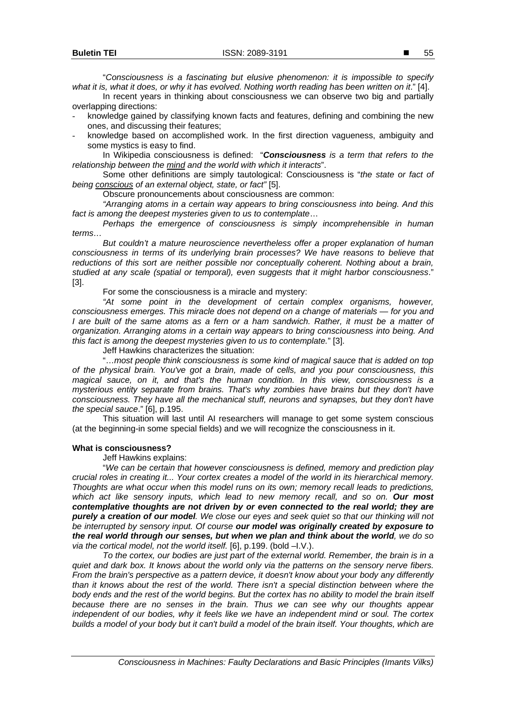"*Consciousness is a fascinating but elusive phenomenon: it is impossible to specify*  what it is, what it does, or why it has evolved. Nothing worth reading has been written on it." [4].

In recent years in thinking about consciousness we can observe two big and partially overlapping directions:

knowledge gained by classifying known facts and features, defining and combining the new ones, and discussing their features;

knowledge based on accomplished work. In the first direction vagueness, ambiguity and some mystics is easy to find.

In Wikipedia consciousness is defined: "*Consciousness is a term that refers to the relationship between the mind and the world with which it interacts*".

Some other definitions are simply tautological: Consciousness is "*the state or fact of being conscious of an external object, state, or fact"* [5].

Obscure pronouncements about consciousness are common:

*"Arranging atoms in a certain way appears to bring consciousness into being. And this fact is among the deepest mysteries given to us to contemplate*…

*Perhaps the emergence of consciousness is simply incomprehensible in human terms…*

*But couldn't a mature neuroscience nevertheless offer a proper explanation of human consciousness in terms of its underlying brain processes? We have reasons to believe that reductions of this sort are neither possible nor conceptually coherent. Nothing about a brain, studied at any scale (spatial or temporal), even suggests that it might harbor consciousness*." [3].

For some the consciousness is a miracle and mystery:

*"At some point in the development of certain complex organisms, however, consciousness emerges. This miracle does not depend on a change of materials — for you and I are built of the same atoms as a fern or a ham sandwich. Rather, it must be a matter of organization. Arranging atoms in a certain way appears to bring consciousness into being. And this fact is among the deepest mysteries given to us to contemplate.*" [3].

Jeff Hawkins characterizes the situation:

"…*most people think consciousness is some kind of magical sauce that is added on top of the physical brain. You've got a brain, made of cells, and you pour consciousness, this magical sauce, on it, and that's the human condition. In this view, consciousness is a mysterious entity separate from brains. That's why zombies have brains but they don't have consciousness. They have all the mechanical stuff, neurons and synapses, but they don't have the special sauce*." [6], p.195.

This situation will last until AI researchers will manage to get some system conscious (at the beginning-in some special fields) and we will recognize the consciousness in it.

# **What is consciousness?**

Jeff Hawkins explains:

"*We can be certain that however consciousness is defined, memory and prediction play crucial roles in creating it... Your cortex creates a model of the world in its hierarchical memory. Thoughts are what occur when this model runs on its own; memory recall leads to predictions, which act like sensory inputs, which lead to new memory recall, and so on. Our most contemplative thoughts are not driven by or even connected to the real world; they are purely a creation of our model. We close our eyes and seek quiet so that our thinking will not be interrupted by sensory input. Of course our model was originally created by exposure to the real world through our senses, but when we plan and think about the world, we do so via the cortical model, not the world itself.* [6], p.199. (bold –I.V.).

*To the cortex, our bodies are just part of the external world. Remember, the brain is in a quiet and dark box. It knows about the world only via the patterns on the sensory nerve fibers. From the brain's perspective as a pattern device, it doesn't know about your body any differently than it knows about the rest of the world. There isn't a special distinction between where the*  body ends and the rest of the world begins. But the cortex has no ability to model the brain itself *because there are no senses in the brain. Thus we can see why our thoughts appear independent of our bodies, why it feels like we have an independent mind or soul. The cortex builds a model of your body but it can't build a model of the brain itself. Your thoughts, which are*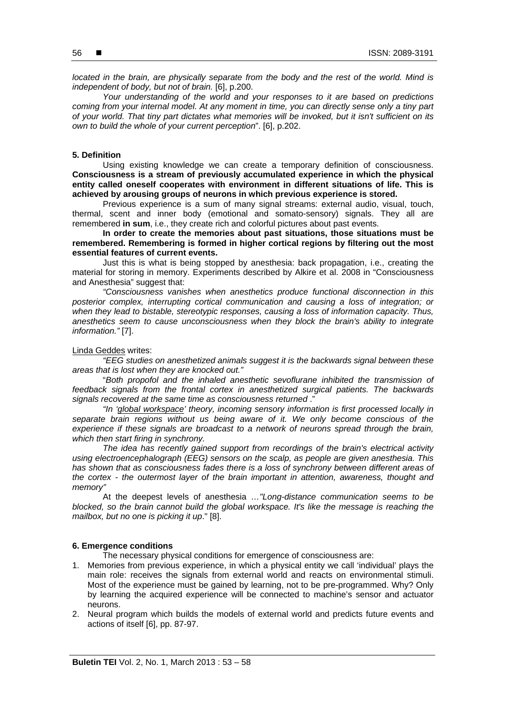located in the brain, are physically separate from the body and the rest of the world. Mind is *independent of body, but not of brain.* [6], p.200.

*Your understanding of the world and your responses to it are based on predictions coming from your internal model. At any moment in time, you can directly sense only a tiny part of your world. That tiny part dictates what memories will be invoked, but it isn't sufficient on its own to build the whole of your current perception*". [6], p.202.

## **5. Definition**

Using existing knowledge we can create a temporary definition of consciousness. **Consciousness is a stream of previously accumulated experience in which the physical entity called oneself cooperates with environment in different situations of life. This is achieved by arousing groups of neurons in which previous experience is stored.** 

Previous experience is a sum of many signal streams: external audio, visual, touch, thermal, scent and inner body (emotional and somato-sensory) signals. They all are remembered **in sum**, i.e., they create rich and colorful pictures about past events.

**In order to create the memories about past situations, those situations must be remembered. Remembering is formed in higher cortical regions by filtering out the most essential features of current events.** 

Just this is what is being stopped by anesthesia: back propagation, i.e., creating the material for storing in memory. Experiments described by Alkire et al. 2008 in "Consciousness and Anesthesia" suggest that:

*"Consciousness vanishes when anesthetics produce functional disconnection in this posterior complex, interrupting cortical communication and causing a loss of integration; or when they lead to bistable, stereotypic responses, causing a loss of information capacity. Thus, anesthetics seem to cause unconsciousness when they block the brain's ability to integrate information."* [7].

## Linda Geddes writes:

*"EEG studies on anesthetized animals suggest it is the backwards signal between these areas that is lost when they are knocked out."*

"*Both propofol and the inhaled anesthetic sevoflurane inhibited the transmission of feedback signals from the frontal cortex in anesthetized surgical patients. The backwards signals recovered at the same time as consciousness returned* ."

*"In 'global workspace' theory, incoming sensory information is first processed locally in separate brain regions without us being aware of it. We only become conscious of the experience if these signals are broadcast to a network of neurons spread through the brain, which then start firing in synchrony.* 

*The idea has recently gained support from recordings of the brain's electrical activity using electroencephalograph (EEG) sensors on the scalp, as people are given anesthesia. This*  has shown that as consciousness fades there is a loss of synchrony between different areas of *the cortex - the outermost layer of the brain important in attention, awareness, thought and memory"*

At the deepest levels of anesthesia *…"Long-distance communication seems to be blocked, so the brain cannot build the global workspace. It's like the message is reaching the mailbox, but no one is picking it up*." [8].

#### **6. Emergence conditions**

The necessary physical conditions for emergence of consciousness are:

- 1. Memories from previous experience, in which a physical entity we call 'individual' plays the main role: receives the signals from external world and reacts on environmental stimuli. Most of the experience must be gained by learning, not to be pre-programmed. Why? Only by learning the acquired experience will be connected to machine's sensor and actuator neurons.
- 2. Neural program which builds the models of external world and predicts future events and actions of itself [6], pp. 87-97.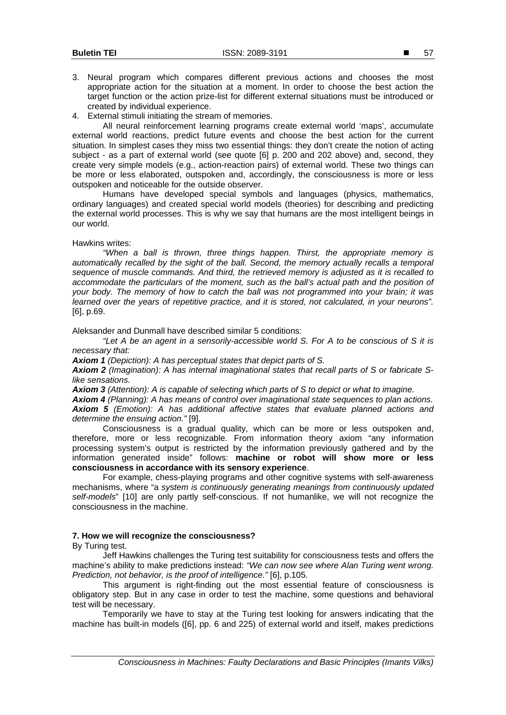- 3. Neural program which compares different previous actions and chooses the most appropriate action for the situation at a moment. In order to choose the best action the target function or the action prize-list for different external situations must be introduced or created by individual experience.
- 4. External stimuli initiating the stream of memories.

All neural reinforcement learning programs create external world 'maps', accumulate external world reactions, predict future events and choose the best action for the current situation. In simplest cases they miss two essential things: they don't create the notion of acting subject - as a part of external world (see quote [6] p. 200 and 202 above) and, second, they create very simple models (e.g., action-reaction pairs) of external world. These two things can be more or less elaborated, outspoken and, accordingly, the consciousness is more or less outspoken and noticeable for the outside observer.

Humans have developed special symbols and languages (physics, mathematics, ordinary languages) and created special world models (theories) for describing and predicting the external world processes. This is why we say that humans are the most intelligent beings in our world.

#### Hawkins writes:

*"When a ball is thrown, three things happen. Thirst, the appropriate memory is*  automatically recalled by the sight of the ball. Second, the memory actually recalls a temporal *sequence of muscle commands. And third, the retrieved memory is adjusted as it is recalled to*  accommodate the particulars of the moment, such as the ball's actual path and the position of *your body. The memory of how to catch the ball was not programmed into your brain; it was learned over the years of repetitive practice, and it is stored, not calculated, in your neurons".*  [6], p.69.

Aleksander and Dunmall have described similar 5 conditions:

*"Let A be an agent in a sensorily-accessible world S. For A to be conscious of S it is necessary that:* 

*Axiom 1 (Depiction): A has perceptual states that depict parts of S.* 

*Axiom 2 (Imagination): A has internal imaginational states that recall parts of S or fabricate Slike sensations.* 

*Axiom 3 (Attention): A is capable of selecting which parts of S to depict or what to imagine.* 

*Axiom 4 (Planning): A has means of control over imaginational state sequences to plan actions. Axiom 5 (Emotion): A has additional affective states that evaluate planned actions and determine the ensuing action."* [9].

Consciousness is a gradual quality, which can be more or less outspoken and, therefore, more or less recognizable. From information theory axiom "any information processing system's output is restricted by the information previously gathered and by the information generated inside" follows: **machine or robot will show more or less consciousness in accordance with its sensory experience**.

For example, chess-playing programs and other cognitive systems with self-awareness mechanisms, where "a *system is continuously generating meanings from continuously updated self-models*" [10] are only partly self-conscious. If not humanlike, we will not recognize the consciousness in the machine.

# **7. How we will recognize the consciousness?**

#### By Turing test.

Jeff Hawkins challenges the Turing test suitability for consciousness tests and offers the machine's ability to make predictions instead: *"We can now see where Alan Turing went wrong. Prediction, not behavior, is the proof of intelligence."* [6], p.105.

This argument is right-finding out the most essential feature of consciousness is obligatory step. But in any case in order to test the machine, some questions and behavioral test will be necessary.

Temporarily we have to stay at the Turing test looking for answers indicating that the machine has built-in models ([6], pp. 6 and 225) of external world and itself, makes predictions